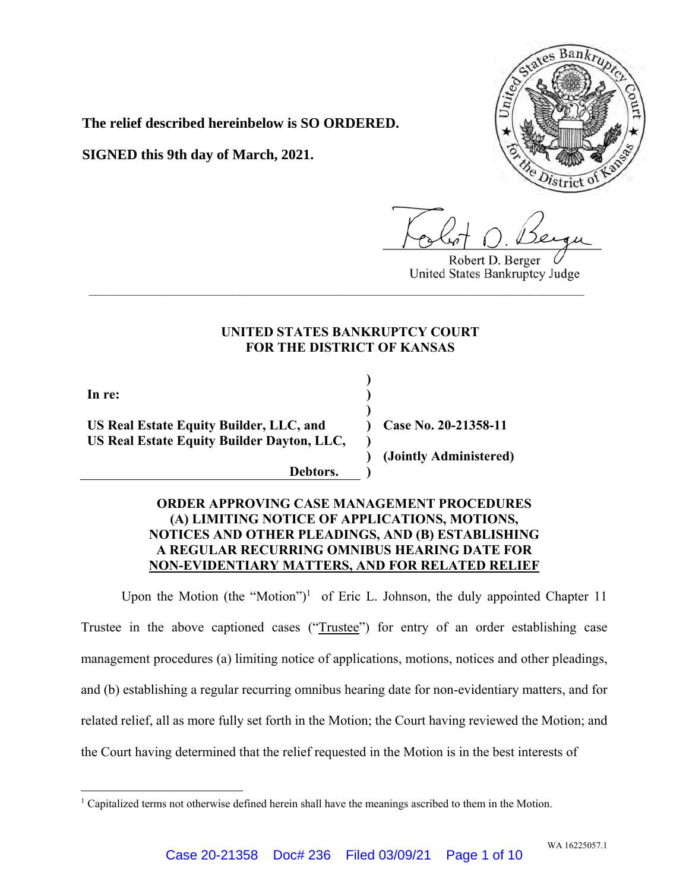

**The relief described hereinbelow is SO ORDERED.** 

**SIGNED this 9th day of March, 2021.**

Robert D. Berger United States Bankruptcy Judge

# **UNITED STATES BANKRUPTCY COURT FOR THE DISTRICT OF KANSAS**

**\_\_\_\_\_\_\_\_\_\_\_\_\_\_\_\_\_\_\_\_\_\_\_\_\_\_\_\_\_\_\_\_\_\_\_\_\_\_\_\_\_\_\_\_\_\_\_\_\_\_\_\_\_\_\_\_\_\_\_\_\_\_\_\_\_\_\_\_\_\_\_\_**

**) ) ) ) ) )**

**In re:** 

**US Real Estate Equity Builder, LLC, and US Real Estate Equity Builder Dayton, LLC,** 

 **)** 

 **Debtors.** 

**Case No. 20-21358-11** 

**(Jointly Administered)** 

# **ORDER APPROVING CASE MANAGEMENT PROCEDURES (A) LIMITING NOTICE OF APPLICATIONS, MOTIONS, NOTICES AND OTHER PLEADINGS, AND (B) ESTABLISHING A REGULAR RECURRING OMNIBUS HEARING DATE FOR NON-EVIDENTIARY MATTERS, AND FOR RELATED RELIEF**

Upon the Motion (the "Motion")<sup>1</sup> of Eric L. Johnson, the duly appointed Chapter 11 Trustee in the above captioned cases ("Trustee") for entry of an order establishing case management procedures (a) limiting notice of applications, motions, notices and other pleadings, and (b) establishing a regular recurring omnibus hearing date for non-evidentiary matters, and for related relief, all as more fully set forth in the Motion; the Court having reviewed the Motion; and the Court having determined that the relief requested in the Motion is in the best interests of

<sup>&</sup>lt;sup>1</sup> Capitalized terms not otherwise defined herein shall have the meanings ascribed to them in the Motion.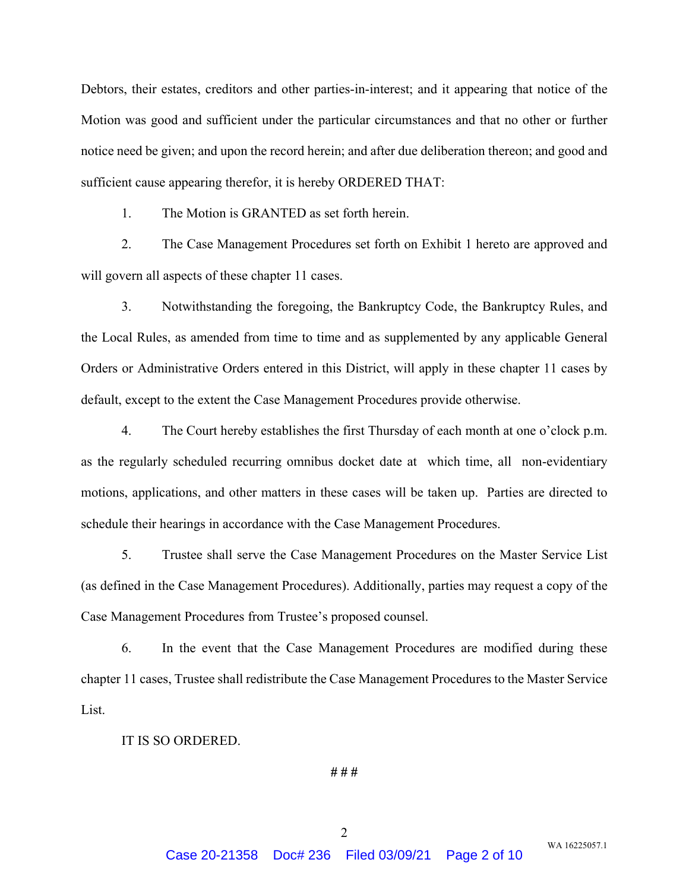Debtors, their estates, creditors and other parties-in-interest; and it appearing that notice of the Motion was good and sufficient under the particular circumstances and that no other or further notice need be given; and upon the record herein; and after due deliberation thereon; and good and sufficient cause appearing therefor, it is hereby ORDERED THAT:

1. The Motion is GRANTED as set forth herein.

2. The Case Management Procedures set forth on Exhibit 1 hereto are approved and will govern all aspects of these chapter 11 cases.

3. Notwithstanding the foregoing, the Bankruptcy Code, the Bankruptcy Rules, and the Local Rules, as amended from time to time and as supplemented by any applicable General Orders or Administrative Orders entered in this District, will apply in these chapter 11 cases by default, except to the extent the Case Management Procedures provide otherwise.

4. The Court hereby establishes the first Thursday of each month at one o'clock p.m. as the regularly scheduled recurring omnibus docket date at which time, all non-evidentiary motions, applications, and other matters in these cases will be taken up. Parties are directed to schedule their hearings in accordance with the Case Management Procedures.

5. Trustee shall serve the Case Management Procedures on the Master Service List (as defined in the Case Management Procedures). Additionally, parties may request a copy of the Case Management Procedures from Trustee's proposed counsel.

6. In the event that the Case Management Procedures are modified during these chapter 11 cases, Trustee shall redistribute the Case Management Procedures to the Master Service List.

#### IT IS SO ORDERED.

**# # #**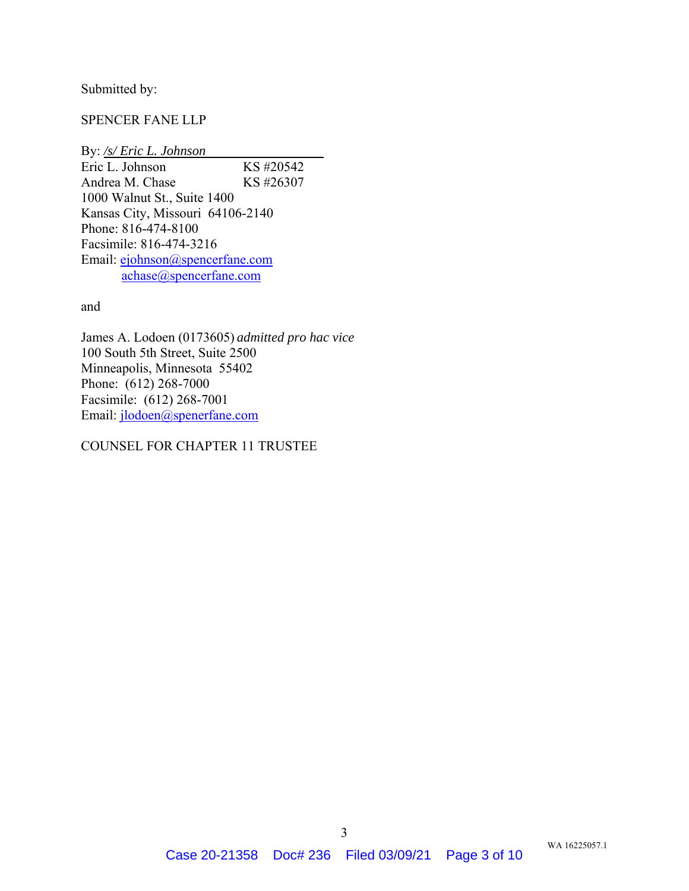Submitted by:

## SPENCER FANE LLP

By: */s/ Eric L. Johnson*  Eric L. Johnson KS #20542 Andrea M. Chase KS #26307 1000 Walnut St., Suite 1400 Kansas City, Missouri 64106-2140 Phone: 816-474-8100 Facsimile: 816-474-3216 Email: ejohnson@spencerfane.com achase@spencerfane.com

and

James A. Lodoen (0173605) *admitted pro hac vice* 100 South 5th Street, Suite 2500 Minneapolis, Minnesota 55402 Phone: (612) 268-7000 Facsimile: (612) 268-7001 Email: jlodoen@spenerfane.com

### COUNSEL FOR CHAPTER 11 TRUSTEE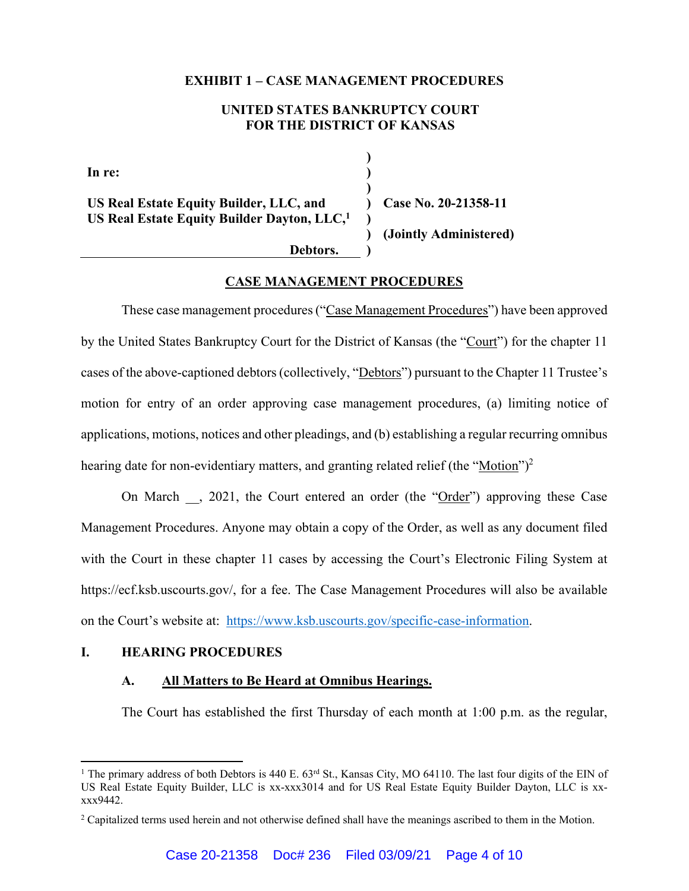### **EXHIBIT 1 – CASE MANAGEMENT PROCEDURES**

## **UNITED STATES BANKRUPTCY COURT FOR THE DISTRICT OF KANSAS**

**) ) ) ) ) )**

**In re:** 

**US Real Estate Equity Builder, LLC, and US Real Estate Equity Builder Dayton, LLC,1**

 **)** 

**Case No. 20-21358-11** 

**(Jointly Administered)** 

 **Debtors.** 

## **CASE MANAGEMENT PROCEDURES**

These case management procedures ("Case Management Procedures") have been approved by the United States Bankruptcy Court for the District of Kansas (the "Court") for the chapter 11 cases of the above-captioned debtors (collectively, "Debtors") pursuant to the Chapter 11 Trustee's motion for entry of an order approving case management procedures, (a) limiting notice of applications, motions, notices and other pleadings, and (b) establishing a regular recurring omnibus hearing date for non-evidentiary matters, and granting related relief (the "Motion")<sup>2</sup>

On March , 2021, the Court entered an order (the "Order") approving these Case Management Procedures. Anyone may obtain a copy of the Order, as well as any document filed with the Court in these chapter 11 cases by accessing the Court's Electronic Filing System at https://ecf.ksb.uscourts.gov/, for a fee. The Case Management Procedures will also be available on the Court's website at: https://www.ksb.uscourts.gov/specific-case-information.

## **I. HEARING PROCEDURES**

 $\overline{a}$ 

## **A. All Matters to Be Heard at Omnibus Hearings.**

The Court has established the first Thursday of each month at 1:00 p.m. as the regular,

<sup>&</sup>lt;sup>1</sup> The primary address of both Debtors is 440 E. 63<sup>rd</sup> St., Kansas City, MO 64110. The last four digits of the EIN of US Real Estate Equity Builder, LLC is xx-xxx3014 and for US Real Estate Equity Builder Dayton, LLC is xxxxx9442.

<sup>&</sup>lt;sup>2</sup> Capitalized terms used herein and not otherwise defined shall have the meanings ascribed to them in the Motion.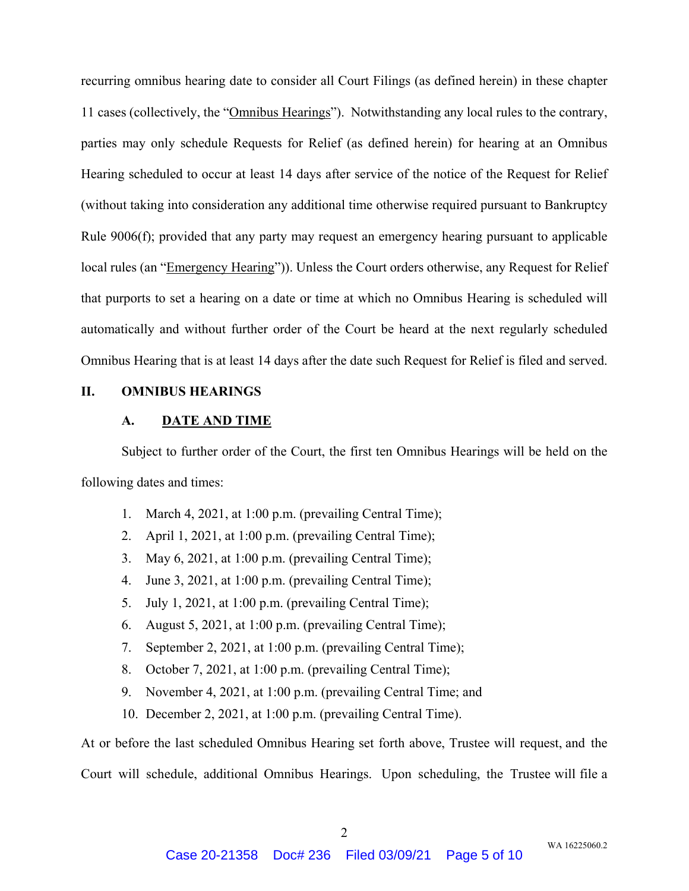recurring omnibus hearing date to consider all Court Filings (as defined herein) in these chapter 11 cases (collectively, the "Omnibus Hearings"). Notwithstanding any local rules to the contrary, parties may only schedule Requests for Relief (as defined herein) for hearing at an Omnibus Hearing scheduled to occur at least 14 days after service of the notice of the Request for Relief (without taking into consideration any additional time otherwise required pursuant to Bankruptcy Rule 9006(f); provided that any party may request an emergency hearing pursuant to applicable local rules (an "Emergency Hearing")). Unless the Court orders otherwise, any Request for Relief that purports to set a hearing on a date or time at which no Omnibus Hearing is scheduled will automatically and without further order of the Court be heard at the next regularly scheduled Omnibus Hearing that is at least 14 days after the date such Request for Relief is filed and served.

# **II. OMNIBUS HEARINGS**

### **A. DATE AND TIME**

Subject to further order of the Court, the first ten Omnibus Hearings will be held on the following dates and times:

- 1. March 4, 2021, at 1:00 p.m. (prevailing Central Time);
- 2. April 1, 2021, at 1:00 p.m. (prevailing Central Time);
- 3. May 6, 2021, at 1:00 p.m. (prevailing Central Time);
- 4. June 3, 2021, at 1:00 p.m. (prevailing Central Time);
- 5. July 1, 2021, at 1:00 p.m. (prevailing Central Time);
- 6. August 5, 2021, at 1:00 p.m. (prevailing Central Time);
- 7. September 2, 2021, at 1:00 p.m. (prevailing Central Time);
- 8. October 7, 2021, at 1:00 p.m. (prevailing Central Time);
- 9. November 4, 2021, at 1:00 p.m. (prevailing Central Time; and
- 10. December 2, 2021, at 1:00 p.m. (prevailing Central Time).

At or before the last scheduled Omnibus Hearing set forth above, Trustee will request, and the Court will schedule, additional Omnibus Hearings. Upon scheduling, the Trustee will file a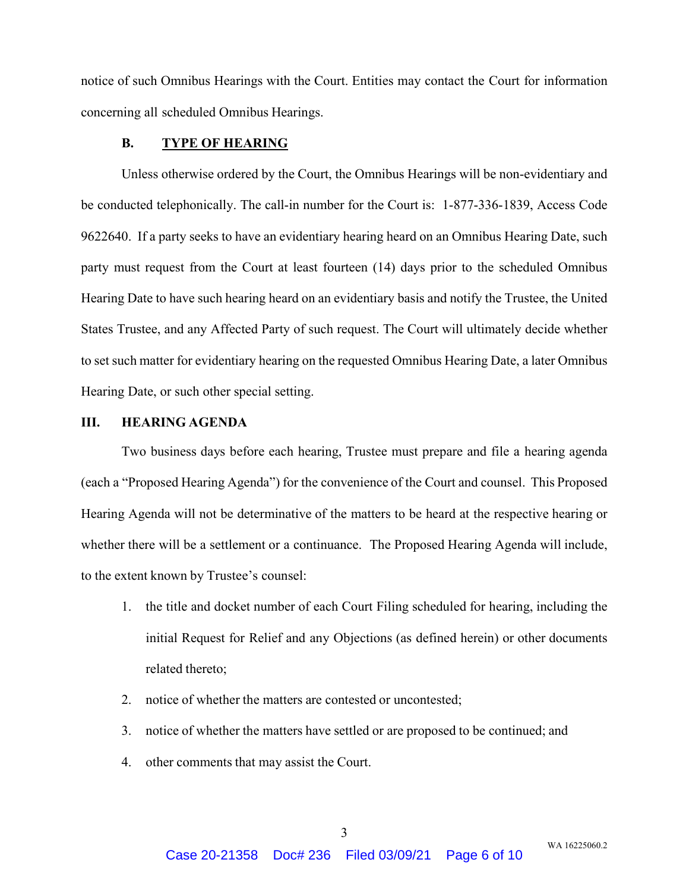notice of such Omnibus Hearings with the Court. Entities may contact the Court for information concerning all scheduled Omnibus Hearings.

#### **B. TYPE OF HEARING**

Unless otherwise ordered by the Court, the Omnibus Hearings will be non-evidentiary and be conducted telephonically. The call-in number for the Court is: 1-877-336-1839, Access Code 9622640. If a party seeks to have an evidentiary hearing heard on an Omnibus Hearing Date, such party must request from the Court at least fourteen (14) days prior to the scheduled Omnibus Hearing Date to have such hearing heard on an evidentiary basis and notify the Trustee, the United States Trustee, and any Affected Party of such request. The Court will ultimately decide whether to set such matter for evidentiary hearing on the requested Omnibus Hearing Date, a later Omnibus Hearing Date, or such other special setting.

## **III. HEARING AGENDA**

Two business days before each hearing, Trustee must prepare and file a hearing agenda (each a "Proposed Hearing Agenda") for the convenience of the Court and counsel. This Proposed Hearing Agenda will not be determinative of the matters to be heard at the respective hearing or whether there will be a settlement or a continuance. The Proposed Hearing Agenda will include, to the extent known by Trustee's counsel:

- 1. the title and docket number of each Court Filing scheduled for hearing, including the initial Request for Relief and any Objections (as defined herein) or other documents related thereto;
- 2. notice of whether the matters are contested or uncontested;
- 3. notice of whether the matters have settled or are proposed to be continued; and
- 4. other comments that may assist the Court.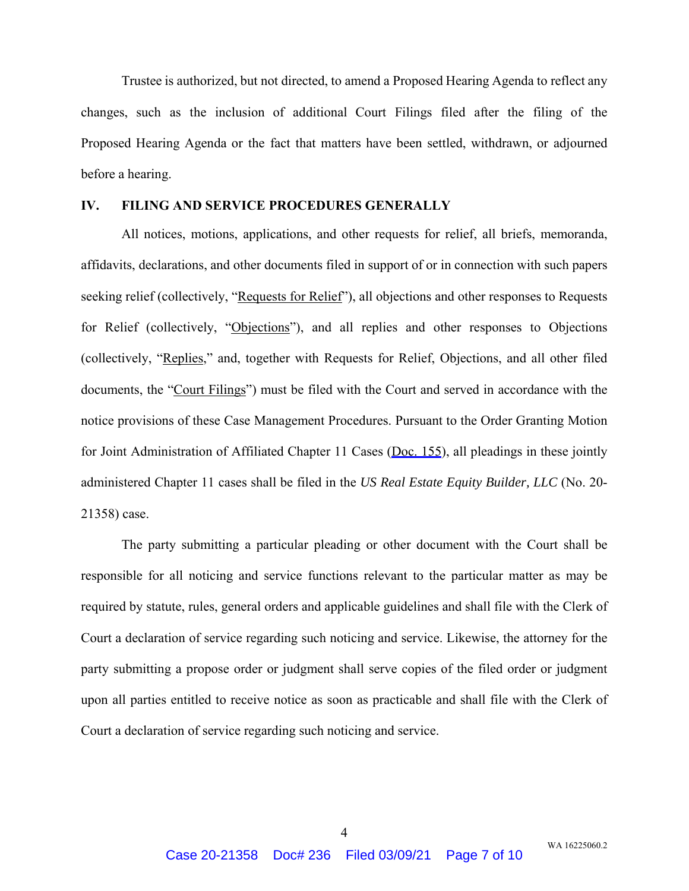Trustee is authorized, but not directed, to amend a Proposed Hearing Agenda to reflect any changes, such as the inclusion of additional Court Filings filed after the filing of the Proposed Hearing Agenda or the fact that matters have been settled, withdrawn, or adjourned before a hearing.

### **IV. FILING AND SERVICE PROCEDURES GENERALLY**

All notices, motions, applications, and other requests for relief, all briefs, memoranda, affidavits, declarations, and other documents filed in support of or in connection with such papers seeking relief (collectively, "Requests for Relief"), all objections and other responses to Requests for Relief (collectively, "Objections"), and all replies and other responses to Objections (collectively, "Replies," and, together with Requests for Relief, Objections, and all other filed documents, the "Court Filings") must be filed with the Court and served in accordance with the notice provisions of these Case Management Procedures. Pursuant to the Order Granting Motion for Joint Administration of Affiliated Chapter 11 Cases [\(Doc. 155\)](https://ecf.ksb.circ10.dcn?caseYear=20&caseNum=21358&docNum=155), all pleadings in these jointly administered Chapter 11 cases shall be filed in the *US Real Estate Equity Builder, LLC* (No. 20- 21358) case.

The party submitting a particular pleading or other document with the Court shall be responsible for all noticing and service functions relevant to the particular matter as may be required by statute, rules, general orders and applicable guidelines and shall file with the Clerk of Court a declaration of service regarding such noticing and service. Likewise, the attorney for the party submitting a propose order or judgment shall serve copies of the filed order or judgment upon all parties entitled to receive notice as soon as practicable and shall file with the Clerk of Court a declaration of service regarding such noticing and service.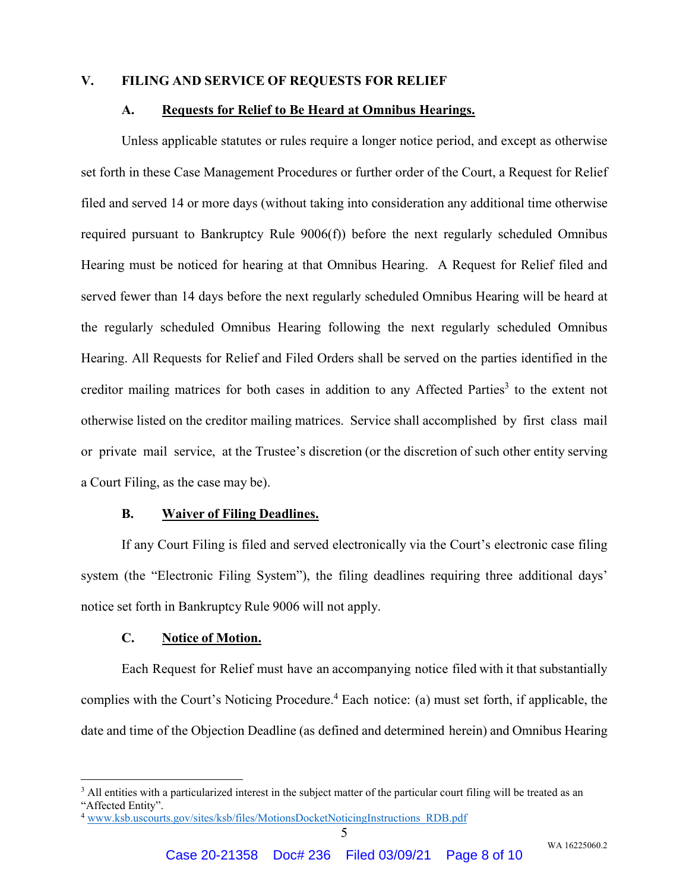## **V. FILING AND SERVICE OF REQUESTS FOR RELIEF**

### **A. Requests for Relief to Be Heard at Omnibus Hearings.**

Unless applicable statutes or rules require a longer notice period, and except as otherwise set forth in these Case Management Procedures or further order of the Court, a Request for Relief filed and served 14 or more days (without taking into consideration any additional time otherwise required pursuant to Bankruptcy Rule 9006(f)) before the next regularly scheduled Omnibus Hearing must be noticed for hearing at that Omnibus Hearing. A Request for Relief filed and served fewer than 14 days before the next regularly scheduled Omnibus Hearing will be heard at the regularly scheduled Omnibus Hearing following the next regularly scheduled Omnibus Hearing. All Requests for Relief and Filed Orders shall be served on the parties identified in the creditor mailing matrices for both cases in addition to any Affected Parties<sup>3</sup> to the extent not otherwise listed on the creditor mailing matrices. Service shall accomplished by first class mail or private mail service, at the Trustee's discretion (or the discretion of such other entity serving a Court Filing, as the case may be).

#### **B. Waiver of Filing Deadlines.**

If any Court Filing is filed and served electronically via the Court's electronic case filing system (the "Electronic Filing System"), the filing deadlines requiring three additional days' notice set forth in Bankruptcy Rule 9006 will not apply.

### **C. Notice of Motion.**

 $\overline{a}$ 

Each Request for Relief must have an accompanying notice filed with it that substantially complies with the Court's Noticing Procedure.<sup>4</sup> Each notice: (a) must set forth, if applicable, the date and time of the Objection Deadline (as defined and determined herein) and Omnibus Hearing

<sup>&</sup>lt;sup>3</sup> All entities with a particularized interest in the subject matter of the particular court filing will be treated as an "Affected Entity".

<sup>&</sup>lt;sup>4</sup> www.ksb.uscourts.gov/sites/ksb/files/MotionsDocketNoticingInstructions\_RDB.pdf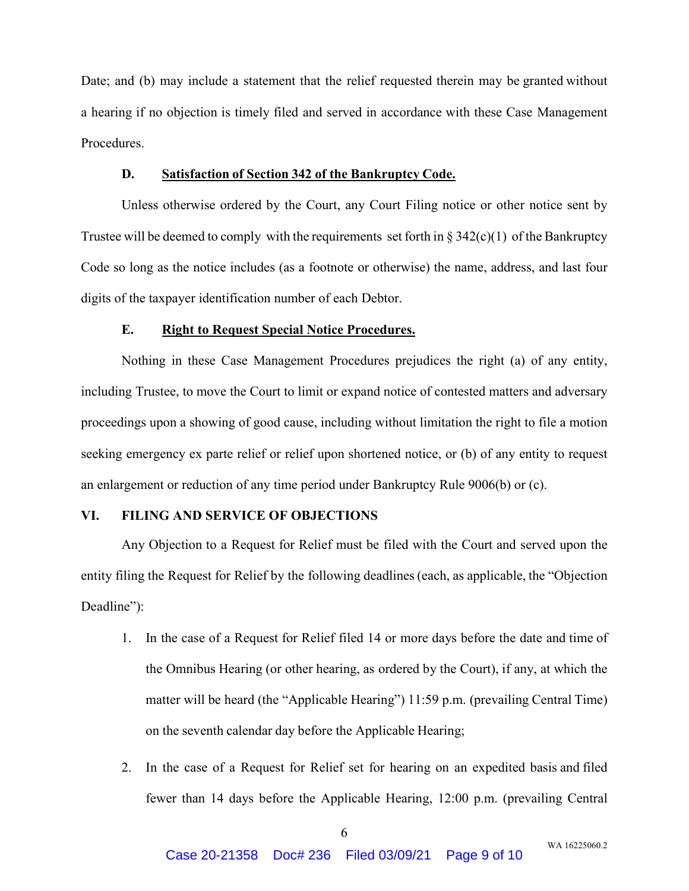Date; and (b) may include a statement that the relief requested therein may be granted without a hearing if no objection is timely filed and served in accordance with these Case Management Procedures.

## **D. Satisfaction of Section 342 of the Bankruptcy Code.**

Unless otherwise ordered by the Court, any Court Filing notice or other notice sent by Trustee will be deemed to comply with the requirements set forth in  $\S 342(c)(1)$  of the Bankruptcy Code so long as the notice includes (as a footnote or otherwise) the name, address, and last four digits of the taxpayer identification number of each Debtor.

### **E. Right to Request Special Notice Procedures.**

Nothing in these Case Management Procedures prejudices the right (a) of any entity, including Trustee, to move the Court to limit or expand notice of contested matters and adversary proceedings upon a showing of good cause, including without limitation the right to file a motion seeking emergency ex parte relief or relief upon shortened notice, or (b) of any entity to request an enlargement or reduction of any time period under Bankruptcy Rule 9006(b) or (c).

## **VI. FILING AND SERVICE OF OBJECTIONS**

Any Objection to a Request for Relief must be filed with the Court and served upon the entity filing the Request for Relief by the following deadlines (each, as applicable, the "Objection Deadline":

- 1. In the case of a Request for Relief filed 14 or more days before the date and time of the Omnibus Hearing (or other hearing, as ordered by the Court), if any, at which the matter will be heard (the "Applicable Hearing") 11:59 p.m. (prevailing Central Time) on the seventh calendar day before the Applicable Hearing;
- 2. In the case of a Request for Relief set for hearing on an expedited basis and filed fewer than 14 days before the Applicable Hearing, 12:00 p.m. (prevailing Central